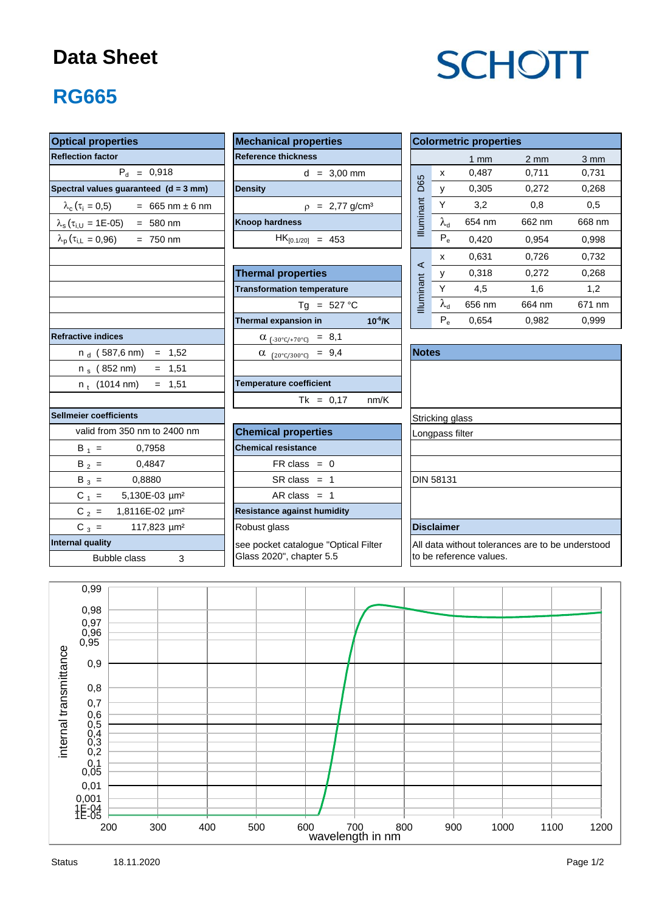## **Data Sheet**

# **SCHOTT**

## **RG665**

| <b>Optical properties</b>                                   | <b>Mechanical properties</b>            | <b>Colormetric properties</b>                         |  |  |  |  |  |  |  |
|-------------------------------------------------------------|-----------------------------------------|-------------------------------------------------------|--|--|--|--|--|--|--|
| <b>Reflection factor</b>                                    | <b>Reference thickness</b>              | 3 mm<br>$1 \text{ mm}$<br>$2 \text{ mm}$              |  |  |  |  |  |  |  |
| $P_{d} = 0,918$                                             | $d = 3,00$ mm                           | 0,487<br>0,711<br>0,731<br>X                          |  |  |  |  |  |  |  |
| Spectral values guaranteed $(d = 3$ mm)                     | <b>Density</b>                          | <b>D65</b><br>$\mathsf{y}$<br>0,305<br>0,272<br>0,268 |  |  |  |  |  |  |  |
| $\lambda_c$ ( $\tau_i$ = 0,5)<br>$= 665$ nm $\pm 6$ nm      | $\rho = 2,77 \text{ g/cm}^3$            | Illuminant<br>Y<br>3,2<br>0,8<br>0,5                  |  |  |  |  |  |  |  |
| $\lambda_{\rm s}$ ( $\tau_{\rm i,U}$ = 1E-05) = 580 nm      | <b>Knoop hardness</b>                   | $\lambda_{\rm d}$<br>654 nm<br>662 nm<br>668 nm       |  |  |  |  |  |  |  |
| $\lambda_{\rm p}$ ( $\tau_{\rm i,L} = 0.96$ )<br>$= 750$ nm | $HK_{[0.1/20]} = 453$                   | $P_e$<br>0,420<br>0,954<br>0,998                      |  |  |  |  |  |  |  |
|                                                             |                                         | 0,631<br>0,732<br>0,726<br>x                          |  |  |  |  |  |  |  |
|                                                             | <b>Thermal properties</b>               | ⋖<br>0,318<br>0,272<br>0,268<br>y                     |  |  |  |  |  |  |  |
|                                                             | <b>Transformation temperature</b>       | Illuminant<br>$\sf Y$<br>4,5<br>1,6<br>1,2            |  |  |  |  |  |  |  |
|                                                             | Tg = $527 °C$                           | $\lambda_{\rm d}$<br>656 nm<br>664 nm<br>671 nm       |  |  |  |  |  |  |  |
|                                                             | Thermal expansion in<br>$10^{-6}$ /K    | $P_e$<br>0,654<br>0,982<br>0,999                      |  |  |  |  |  |  |  |
| <b>Refractive indices</b>                                   | $\alpha$ <sub>(-30°C/+70°C)</sub> = 8,1 |                                                       |  |  |  |  |  |  |  |
| $n_d$ (587,6 nm) = 1,52                                     | $\alpha$ (20°C/300°C) = 9,4             | <b>Notes</b>                                          |  |  |  |  |  |  |  |
| $= 1,51$<br>$n_s$ (852 nm)                                  |                                         |                                                       |  |  |  |  |  |  |  |
| $= 1,51$<br>$n_t$ (1014 nm)                                 | <b>Temperature coefficient</b>          |                                                       |  |  |  |  |  |  |  |
|                                                             | $Tk = 0,17$<br>nm/K                     |                                                       |  |  |  |  |  |  |  |
| <b>Sellmeier coefficients</b>                               |                                         | Stricking glass                                       |  |  |  |  |  |  |  |
| valid from 350 nm to 2400 nm                                | <b>Chemical properties</b>              | Longpass filter                                       |  |  |  |  |  |  |  |
| $B_1 =$<br>0,7958                                           | <b>Chemical resistance</b>              |                                                       |  |  |  |  |  |  |  |
| 0,4847<br>$B_2 =$                                           | $FR \text{ class } = 0$                 |                                                       |  |  |  |  |  |  |  |
| $B_3 =$<br>0,8880                                           | $SR class = 1$                          | DIN 58131                                             |  |  |  |  |  |  |  |
| $C_1 =$<br>5,130E-03 µm <sup>2</sup>                        | AR class $= 1$                          |                                                       |  |  |  |  |  |  |  |
| $C_2 =$<br>1,8116E-02 µm <sup>2</sup>                       | <b>Resistance against humidity</b>      |                                                       |  |  |  |  |  |  |  |
| $C_3 =$<br>117,823 µm <sup>2</sup>                          | Robust glass                            | <b>Disclaimer</b>                                     |  |  |  |  |  |  |  |
| <b>Internal quality</b>                                     | see pocket catalogue "Optical Filter    | All data without tolerances are to be understood      |  |  |  |  |  |  |  |
| <b>Bubble class</b><br>3                                    | Glass 2020", chapter 5.5                | to be reference values.                               |  |  |  |  |  |  |  |
|                                                             |                                         |                                                       |  |  |  |  |  |  |  |
| 0,99                                                        |                                         |                                                       |  |  |  |  |  |  |  |
| 0.98                                                        |                                         |                                                       |  |  |  |  |  |  |  |